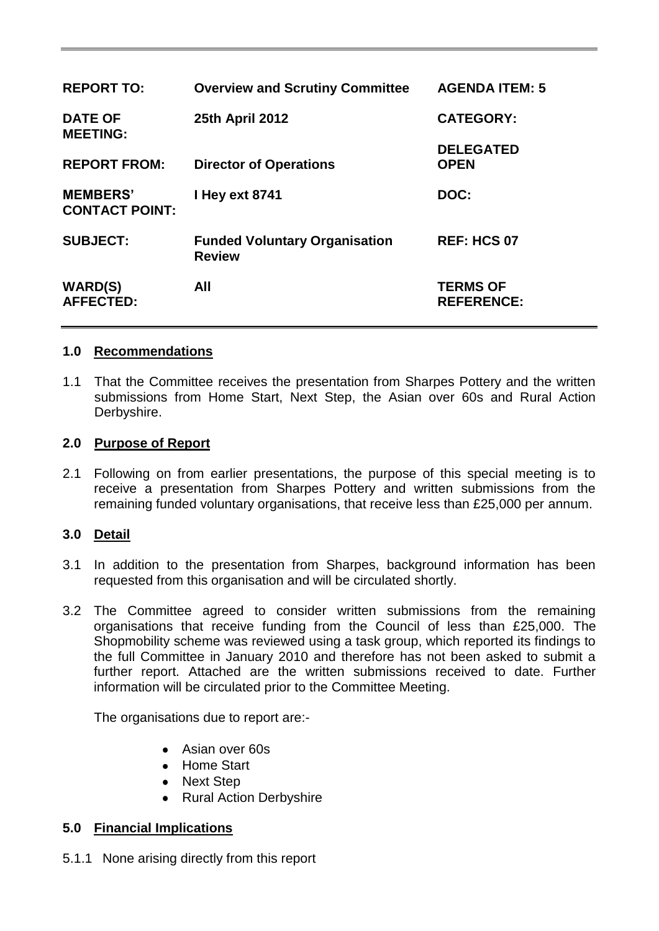| <b>REPORT TO:</b>                        | <b>Overview and Scrutiny Committee</b>                | <b>AGENDA ITEM: 5</b>                |
|------------------------------------------|-------------------------------------------------------|--------------------------------------|
| <b>DATE OF</b><br><b>MEETING:</b>        | <b>25th April 2012</b>                                | <b>CATEGORY:</b>                     |
| <b>REPORT FROM:</b>                      | <b>Director of Operations</b>                         | <b>DELEGATED</b><br><b>OPEN</b>      |
| <b>MEMBERS'</b><br><b>CONTACT POINT:</b> | I Hey ext 8741                                        | DOC:                                 |
| <b>SUBJECT:</b>                          | <b>Funded Voluntary Organisation</b><br><b>Review</b> | <b>REF: HCS 07</b>                   |
| <b>WARD(S)</b><br><b>AFFECTED:</b>       | All                                                   | <b>TERMS OF</b><br><b>REFERENCE:</b> |

#### **1.0 Recommendations**

1.1 That the Committee receives the presentation from Sharpes Pottery and the written submissions from Home Start, Next Step, the Asian over 60s and Rural Action Derbyshire.

#### **2.0 Purpose of Report**

2.1 Following on from earlier presentations, the purpose of this special meeting is to receive a presentation from Sharpes Pottery and written submissions from the remaining funded voluntary organisations, that receive less than £25,000 per annum.

### **3.0 Detail**

- 3.1 In addition to the presentation from Sharpes, background information has been requested from this organisation and will be circulated shortly.
- 3.2 The Committee agreed to consider written submissions from the remaining organisations that receive funding from the Council of less than £25,000. The Shopmobility scheme was reviewed using a task group, which reported its findings to the full Committee in January 2010 and therefore has not been asked to submit a further report. Attached are the written submissions received to date. Further information will be circulated prior to the Committee Meeting.

The organisations due to report are:-

- Asian over 60s
- Home Start
- Next Step
- Rural Action Derbyshire

### **5.0 Financial Implications**

5.1.1 None arising directly from this report